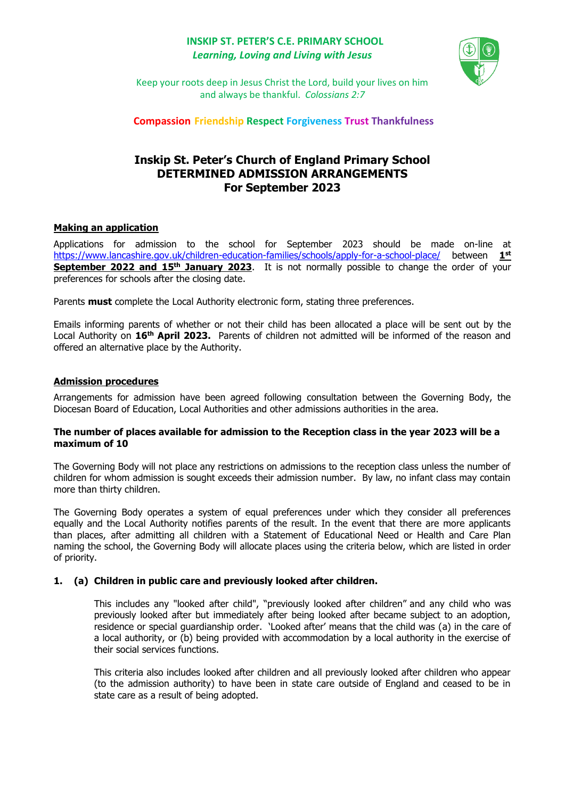# **INSKIP ST. PETER'S C.E. PRIMARY SCHOOL** *Learning, Loving and Living with Jesus*



Keep your roots deep in Jesus Christ the Lord, build your lives on him and always be thankful. *Colossians 2:7*

**Compassion Friendship Respect Forgiveness Trust Thankfulness**

# **Inskip St. Peter's Church of England Primary School DETERMINED ADMISSION ARRANGEMENTS For September 2023**

# **Making an application**

Applications for admission to the school for September 2023 should be made on-line at <https://www.lancashire.gov.uk/children-education-families/schools/apply-for-a-school-place/> between **1 st September 2022 and 15th January 2023**. It is not normally possible to change the order of your preferences for schools after the closing date.

Parents **must** complete the Local Authority electronic form, stating three preferences.

Emails informing parents of whether or not their child has been allocated a place will be sent out by the Local Authority on **16th April 2023.** Parents of children not admitted will be informed of the reason and offered an alternative place by the Authority.

# **Admission procedures**

Arrangements for admission have been agreed following consultation between the Governing Body, the Diocesan Board of Education, Local Authorities and other admissions authorities in the area.

# **The number of places available for admission to the Reception class in the year 2023 will be a maximum of 10**

The Governing Body will not place any restrictions on admissions to the reception class unless the number of children for whom admission is sought exceeds their admission number. By law, no infant class may contain more than thirty children.

The Governing Body operates a system of equal preferences under which they consider all preferences equally and the Local Authority notifies parents of the result. In the event that there are more applicants than places, after admitting all children with a Statement of Educational Need or Health and Care Plan naming the school, the Governing Body will allocate places using the criteria below, which are listed in order of priority.

# **1. (a) Children in public care and previously looked after children.**

This includes any "looked after child", "previously looked after children" and any child who was previously looked after but immediately after being looked after became subject to an adoption, residence or special guardianship order. 'Looked after' means that the child was (a) in the care of a local authority, or (b) being provided with accommodation by a local authority in the exercise of their social services functions.

This criteria also includes looked after children and all previously looked after children who appear (to the admission authority) to have been in state care outside of England and ceased to be in state care as a result of being adopted.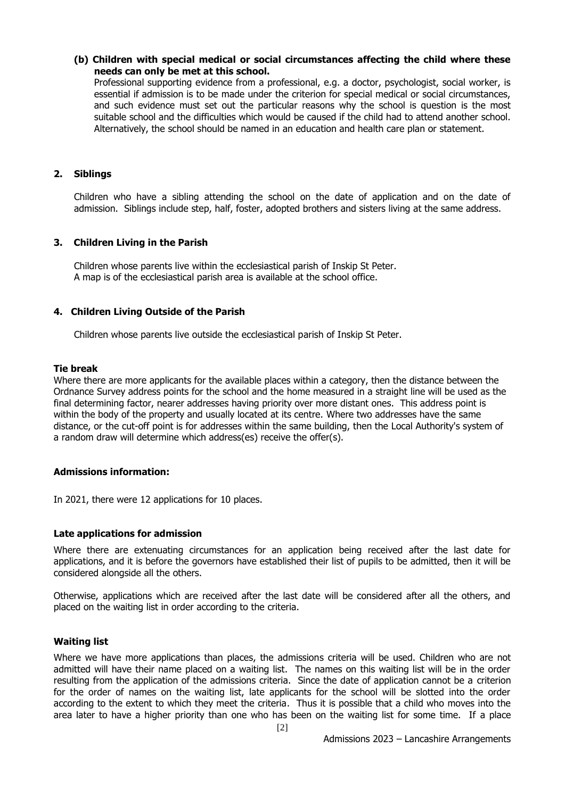### **(b) Children with special medical or social circumstances affecting the child where these needs can only be met at this school.**

Professional supporting evidence from a professional, e.g. a doctor, psychologist, social worker, is essential if admission is to be made under the criterion for special medical or social circumstances, and such evidence must set out the particular reasons why the school is question is the most suitable school and the difficulties which would be caused if the child had to attend another school. Alternatively, the school should be named in an education and health care plan or statement.

# **2. Siblings**

Children who have a sibling attending the school on the date of application and on the date of admission. Siblings include step, half, foster, adopted brothers and sisters living at the same address.

#### **3. Children Living in the Parish**

Children whose parents live within the ecclesiastical parish of Inskip St Peter. A map is of the ecclesiastical parish area is available at the school office.

#### **4. Children Living Outside of the Parish**

Children whose parents live outside the ecclesiastical parish of Inskip St Peter.

#### **Tie break**

Where there are more applicants for the available places within a category, then the distance between the Ordnance Survey address points for the school and the home measured in a straight line will be used as the final determining factor, nearer addresses having priority over more distant ones. This address point is within the body of the property and usually located at its centre. Where two addresses have the same distance, or the cut-off point is for addresses within the same building, then the Local Authority's system of a random draw will determine which address(es) receive the offer(s).

#### **Admissions information:**

In 2021, there were 12 applications for 10 places.

#### **Late applications for admission**

Where there are extenuating circumstances for an application being received after the last date for applications, and it is before the governors have established their list of pupils to be admitted, then it will be considered alongside all the others.

Otherwise, applications which are received after the last date will be considered after all the others, and placed on the waiting list in order according to the criteria.

# **Waiting list**

Where we have more applications than places, the admissions criteria will be used. Children who are not admitted will have their name placed on a waiting list. The names on this waiting list will be in the order resulting from the application of the admissions criteria. Since the date of application cannot be a criterion for the order of names on the waiting list, late applicants for the school will be slotted into the order according to the extent to which they meet the criteria. Thus it is possible that a child who moves into the area later to have a higher priority than one who has been on the waiting list for some time. If a place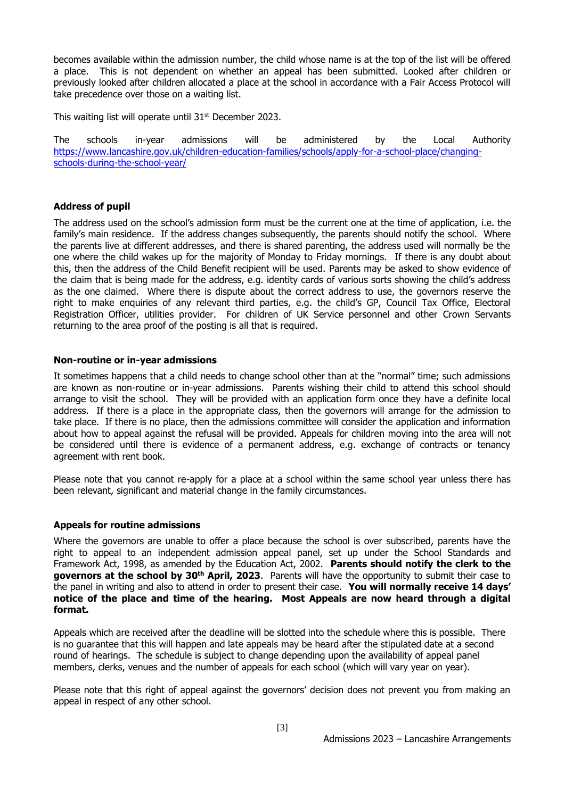becomes available within the admission number, the child whose name is at the top of the list will be offered a place. This is not dependent on whether an appeal has been submitted. Looked after children or previously looked after children allocated a place at the school in accordance with a Fair Access Protocol will take precedence over those on a waiting list.

This waiting list will operate until 31<sup>st</sup> December 2023.

The schools in-year admissions will be administered by the Local Authority [https://www.lancashire.gov.uk/children-education-families/schools/apply-for-a-school-place/changing](https://www.lancashire.gov.uk/children-education-families/schools/apply-for-a-school-place/changing-schools-during-the-school-year/)[schools-during-the-school-year/](https://www.lancashire.gov.uk/children-education-families/schools/apply-for-a-school-place/changing-schools-during-the-school-year/)

# **Address of pupil**

The address used on the school's admission form must be the current one at the time of application, i.e. the family's main residence. If the address changes subsequently, the parents should notify the school. Where the parents live at different addresses, and there is shared parenting, the address used will normally be the one where the child wakes up for the majority of Monday to Friday mornings. If there is any doubt about this, then the address of the Child Benefit recipient will be used. Parents may be asked to show evidence of the claim that is being made for the address, e.g. identity cards of various sorts showing the child's address as the one claimed. Where there is dispute about the correct address to use, the governors reserve the right to make enquiries of any relevant third parties, e.g. the child's GP, Council Tax Office, Electoral Registration Officer, utilities provider. For children of UK Service personnel and other Crown Servants returning to the area proof of the posting is all that is required.

#### **Non-routine or in-year admissions**

It sometimes happens that a child needs to change school other than at the "normal" time; such admissions are known as non-routine or in-year admissions. Parents wishing their child to attend this school should arrange to visit the school. They will be provided with an application form once they have a definite local address. If there is a place in the appropriate class, then the governors will arrange for the admission to take place. If there is no place, then the admissions committee will consider the application and information about how to appeal against the refusal will be provided. Appeals for children moving into the area will not be considered until there is evidence of a permanent address, e.g. exchange of contracts or tenancy agreement with rent book.

Please note that you cannot re-apply for a place at a school within the same school year unless there has been relevant, significant and material change in the family circumstances.

# **Appeals for routine admissions**

Where the governors are unable to offer a place because the school is over subscribed, parents have the right to appeal to an independent admission appeal panel, set up under the School Standards and Framework Act, 1998, as amended by the Education Act, 2002. **Parents should notify the clerk to the governors at the school by 30th April, 2023**. Parents will have the opportunity to submit their case to the panel in writing and also to attend in order to present their case. **You will normally receive 14 days' notice of the place and time of the hearing. Most Appeals are now heard through a digital format.**

Appeals which are received after the deadline will be slotted into the schedule where this is possible. There is no guarantee that this will happen and late appeals may be heard after the stipulated date at a second round of hearings. The schedule is subject to change depending upon the availability of appeal panel members, clerks, venues and the number of appeals for each school (which will vary year on year).

Please note that this right of appeal against the governors' decision does not prevent you from making an appeal in respect of any other school.